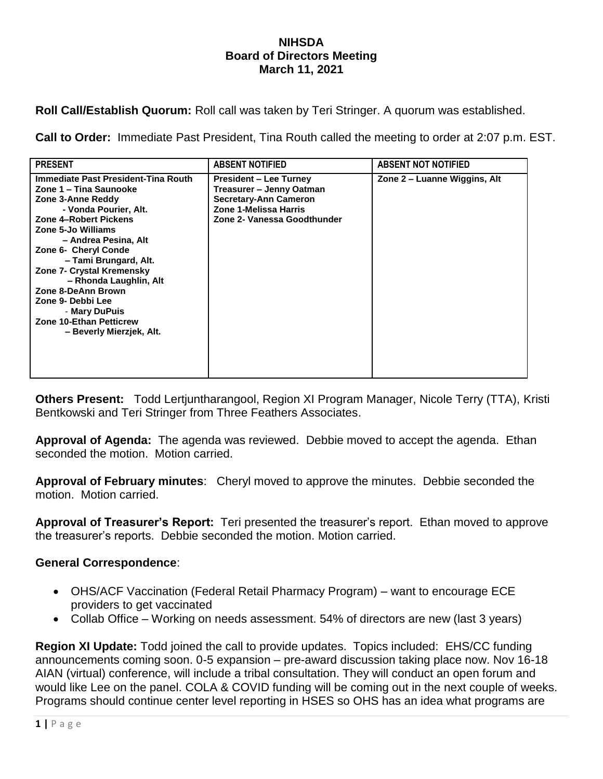## **NIHSDA Board of Directors Meeting March 11, 2021**

**Roll Call/Establish Quorum:** Roll call was taken by Teri Stringer. A quorum was established.

**Call to Order:** Immediate Past President, Tina Routh called the meeting to order at 2:07 p.m. EST.

| <b>PRESENT</b>                                                                                                                                                                                                                                                                                                                                                                                                       | <b>ABSENT NOTIFIED</b>                                                                                                                            | <b>ABSENT NOT NOTIFIED</b>   |
|----------------------------------------------------------------------------------------------------------------------------------------------------------------------------------------------------------------------------------------------------------------------------------------------------------------------------------------------------------------------------------------------------------------------|---------------------------------------------------------------------------------------------------------------------------------------------------|------------------------------|
| Immediate Past President-Tina Routh<br>Zone 1 – Tina Saunooke<br>Zone 3-Anne Reddy<br>- Vonda Pourier, Alt.<br>Zone 4-Robert Pickens<br>Zone 5-Jo Williams<br>- Andrea Pesina, Alt<br>Zone 6- Cheryl Conde<br>- Tami Brungard, Alt.<br>Zone 7- Crystal Kremensky<br>- Rhonda Laughlin, Alt<br>Zone 8-DeAnn Brown<br>Zone 9- Debbi Lee<br>- Mary DuPuis<br><b>Zone 10-Ethan Petticrew</b><br>- Beverly Mierzjek, Alt. | <b>President – Lee Turney</b><br>Treasurer – Jenny Oatman<br><b>Secretary-Ann Cameron</b><br>Zone 1-Melissa Harris<br>Zone 2- Vanessa Goodthunder | Zone 2 – Luanne Wiggins, Alt |

**Others Present:** Todd Lertjuntharangool, Region XI Program Manager, Nicole Terry (TTA), Kristi Bentkowski and Teri Stringer from Three Feathers Associates.

**Approval of Agenda:** The agenda was reviewed. Debbie moved to accept the agenda. Ethan seconded the motion. Motion carried.

**Approval of February minutes**: Cheryl moved to approve the minutes. Debbie seconded the motion. Motion carried.

**Approval of Treasurer's Report:** Teri presented the treasurer's report. Ethan moved to approve the treasurer's reports. Debbie seconded the motion. Motion carried.

## **General Correspondence**:

- OHS/ACF Vaccination (Federal Retail Pharmacy Program) want to encourage ECE providers to get vaccinated
- Collab Office Working on needs assessment. 54% of directors are new (last 3 years)

**Region XI Update:** Todd joined the call to provide updates. Topics included: EHS/CC funding announcements coming soon. 0-5 expansion – pre-award discussion taking place now. Nov 16-18 AIAN (virtual) conference, will include a tribal consultation. They will conduct an open forum and would like Lee on the panel. COLA & COVID funding will be coming out in the next couple of weeks. Programs should continue center level reporting in HSES so OHS has an idea what programs are